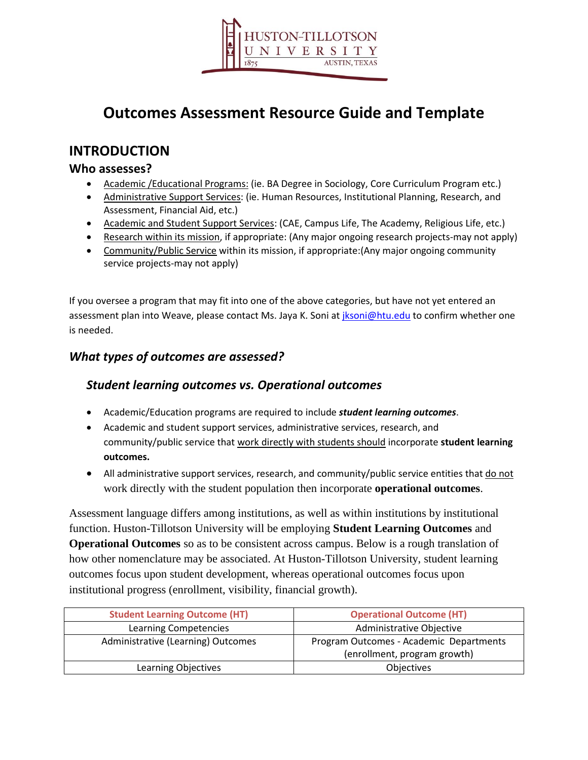

# **Outcomes Assessment Resource Guide and Template**

## **INTRODUCTION**

### **Who assesses?**

- Academic /Educational Programs: (ie. BA Degree in Sociology, Core Curriculum Program etc.)
- Administrative Support Services: (ie. Human Resources, Institutional Planning, Research, and Assessment, Financial Aid, etc.)
- Academic and Student Support Services: (CAE, Campus Life, The Academy, Religious Life, etc.)
- Research within its mission, if appropriate: (Any major ongoing research projects-may not apply)
- Community/Public Service within its mission, if appropriate:(Any major ongoing community service projects-may not apply)

If you oversee a program that may fit into one of the above categories, but have not yet entered an assessment plan into Weave, please contact Ms. Jaya K. Soni at *jksoni@htu.edu* to confirm whether one is needed.

## *What types of outcomes are assessed?*

### *Student learning outcomes vs. Operational outcomes*

- Academic/Education programs are required to include *student learning outcomes*.
- Academic and student support services, administrative services, research, and community/public service that work directly with students should incorporate **student learning outcomes.**
- All administrative support services, research, and community/public service entities that do not work directly with the student population then incorporate **operational outcomes**.

Assessment language differs among institutions, as well as within institutions by institutional function. Huston-Tillotson University will be employing **Student Learning Outcomes** and **Operational Outcomes** so as to be consistent across campus. Below is a rough translation of how other nomenclature may be associated. At Huston-Tillotson University, student learning outcomes focus upon student development, whereas operational outcomes focus upon institutional progress (enrollment, visibility, financial growth).

| <b>Student Learning Outcome (HT)</b> | <b>Operational Outcome (HT)</b>                                         |
|--------------------------------------|-------------------------------------------------------------------------|
| Learning Competencies                | Administrative Objective                                                |
| Administrative (Learning) Outcomes   | Program Outcomes - Academic Departments<br>(enrollment, program growth) |
| Learning Objectives                  | Objectives                                                              |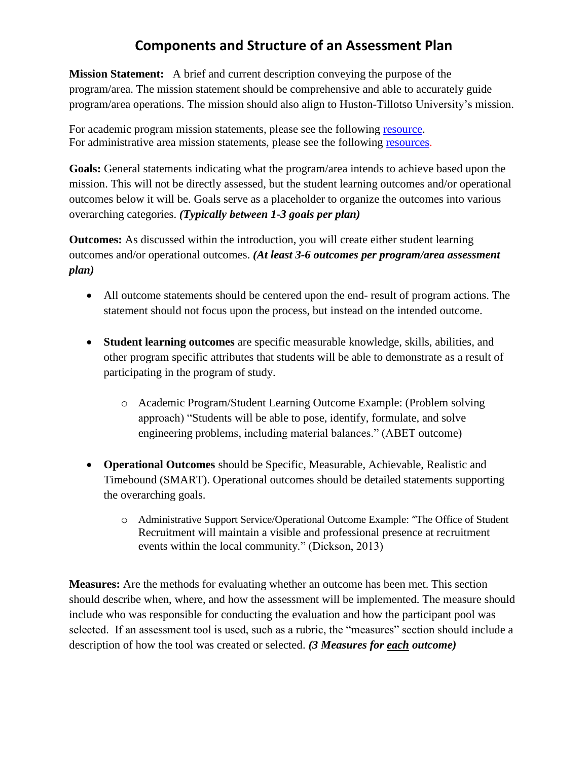## **Components and Structure of an Assessment Plan**

**Mission Statement:** A brief and current description conveying the purpose of the program/area. The mission statement should be comprehensive and able to accurately guide program/area operations. The mission should also align to Huston-Tillotso University's mission.

For academic program mission statements, please see the following [resource.](http://www.assessment.uconn.edu/docs/HowToWriteMission.pdf) For administrative area mission statements, please see the following [resources.](http://www.fss.txstate.edu/planning/assessment/handbook/contentParagraph/0/document/Handbook-for-Program-Assessment-in-Administrative-Support-Units.pdf)

**Goals:** General statements indicating what the program/area intends to achieve based upon the mission. This will not be directly assessed, but the student learning outcomes and/or operational outcomes below it will be. Goals serve as a placeholder to organize the outcomes into various overarching categories. *(Typically between 1-3 goals per plan)*

**Outcomes:** As discussed within the introduction, you will create either student learning outcomes and/or operational outcomes. *(At least 3-6 outcomes per program/area assessment plan)*

- All outcome statements should be centered upon the end- result of program actions. The statement should not focus upon the process, but instead on the intended outcome.
- **Student learning outcomes** are specific measurable knowledge, skills, abilities, and other program specific attributes that students will be able to demonstrate as a result of participating in the program of study.
	- o Academic Program/Student Learning Outcome Example: (Problem solving approach) "Students will be able to pose, identify, formulate, and solve engineering problems, including material balances." (ABET outcome)
- **Operational Outcomes** should be Specific, Measurable, Achievable, Realistic and Timebound (SMART). Operational outcomes should be detailed statements supporting the overarching goals.
	- o Administrative Support Service/Operational Outcome Example: "The Office of Student Recruitment will maintain a visible and professional presence at recruitment events within the local community." (Dickson, 2013)

**Measures:** Are the methods for evaluating whether an outcome has been met. This section should describe when, where, and how the assessment will be implemented. The measure should include who was responsible for conducting the evaluation and how the participant pool was selected. If an assessment tool is used, such as a rubric, the "measures" section should include a description of how the tool was created or selected. *(3 Measures for each outcome)*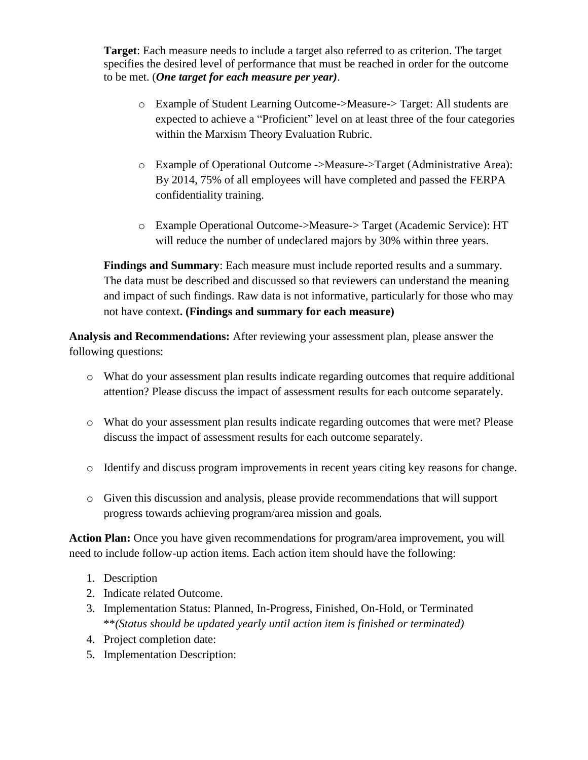**Target**: Each measure needs to include a target also referred to as criterion. The target specifies the desired level of performance that must be reached in order for the outcome to be met. (*One target for each measure per year)*.

- o Example of Student Learning Outcome->Measure-> Target: All students are expected to achieve a "Proficient" level on at least three of the four categories within the Marxism Theory Evaluation Rubric.
- o Example of Operational Outcome ->Measure->Target (Administrative Area): By 2014, 75% of all employees will have completed and passed the FERPA confidentiality training.
- o Example Operational Outcome->Measure-> Target (Academic Service): HT will reduce the number of undeclared majors by 30% within three years.

**Findings and Summary**: Each measure must include reported results and a summary. The data must be described and discussed so that reviewers can understand the meaning and impact of such findings. Raw data is not informative, particularly for those who may not have context**. (Findings and summary for each measure)**

**Analysis and Recommendations:** After reviewing your assessment plan, please answer the following questions:

- o What do your assessment plan results indicate regarding outcomes that require additional attention? Please discuss the impact of assessment results for each outcome separately.
- o What do your assessment plan results indicate regarding outcomes that were met? Please discuss the impact of assessment results for each outcome separately.
- o Identify and discuss program improvements in recent years citing key reasons for change.
- o Given this discussion and analysis, please provide recommendations that will support progress towards achieving program/area mission and goals.

**Action Plan:** Once you have given recommendations for program/area improvement, you will need to include follow-up action items. Each action item should have the following:

- 1. Description
- 2. Indicate related Outcome.
- 3. Implementation Status: Planned, In-Progress, Finished, On-Hold, or Terminated \*\**(Status should be updated yearly until action item is finished or terminated)*
- 4. Project completion date:
- 5. Implementation Description: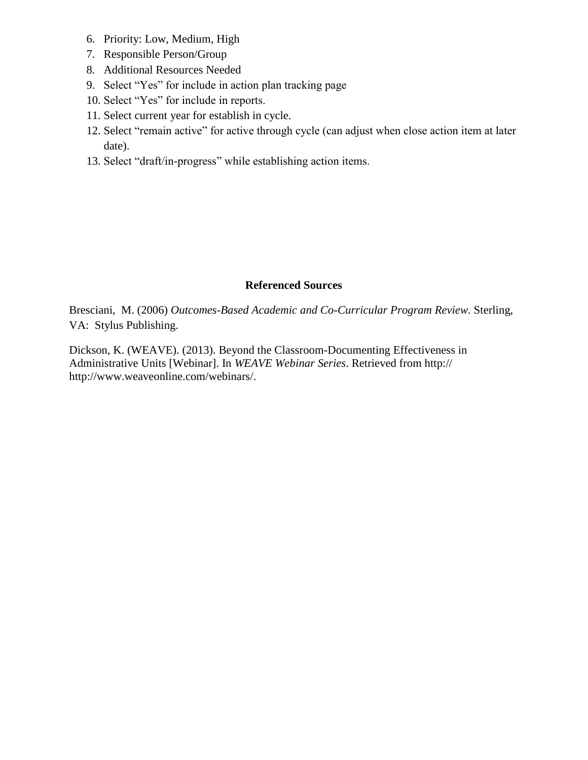- 6. Priority: Low, Medium, High
- 7. Responsible Person/Group
- 8. Additional Resources Needed
- 9. Select "Yes" for include in action plan tracking page
- 10. Select "Yes" for include in reports.
- 11. Select current year for establish in cycle.
- 12. Select "remain active" for active through cycle (can adjust when close action item at later date).
- 13. Select "draft/in-progress" while establishing action items.

### **Referenced Sources**

Bresciani, M. (2006) *Outcomes-Based Academic and Co-Curricular Program Review.* Sterling, VA: Stylus Publishing.

Dickson, K. (WEAVE). (2013). Beyond the Classroom-Documenting Effectiveness in Administrative Units [Webinar]. In *WEAVE Webinar Series*. Retrieved from http:// http://www.weaveonline.com/webinars/.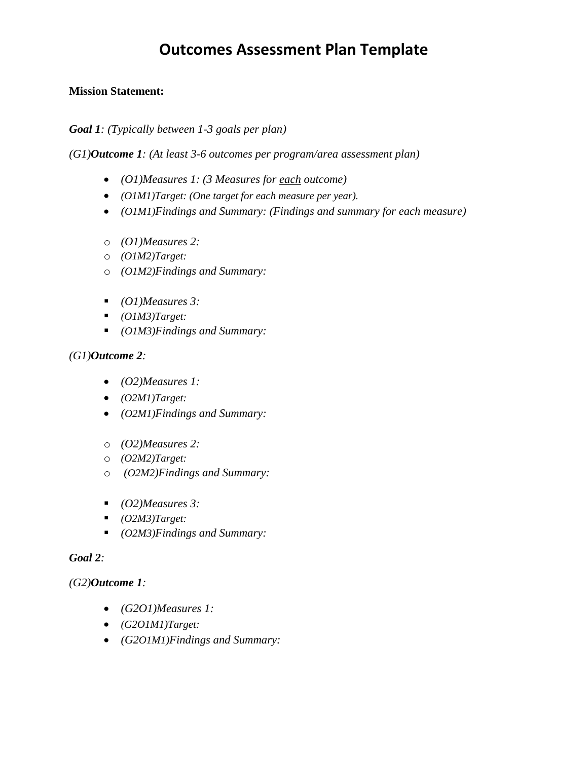# **Outcomes Assessment Plan Template**

### **Mission Statement:**

*Goal 1: (Typically between 1-3 goals per plan)*

*(G1)Outcome 1: (At least 3-6 outcomes per program/area assessment plan)*

- *(O1)Measures 1: (3 Measures for each outcome)*
- *(O1M1)Target: (One target for each measure per year).*
- *(O1M1)Findings and Summary: (Findings and summary for each measure)*
- o *(O1)Measures 2:*
- o *(O1M2)Target:*
- o *(O1M2)Findings and Summary:*
- *(O1)Measures 3:*
- *(O1M3)Target:*
- *(O1M3)Findings and Summary:*

### *(G1)Outcome 2:*

- *(O2)Measures 1:*
- *(O2M1)Target:*
- *(O2M1)Findings and Summary:*
- o *(O2)Measures 2:*
- o *(O2M2)Target:*
- o *(O2M2)Findings and Summary:*
- *(O2)Measures 3:*
- *(O2M3)Target:*
- *(O2M3)Findings and Summary:*

#### *Goal 2:*

#### *(G2)Outcome 1:*

- *(G2O1)Measures 1:*
- *(G2O1M1)Target:*
- *(G2O1M1)Findings and Summary:*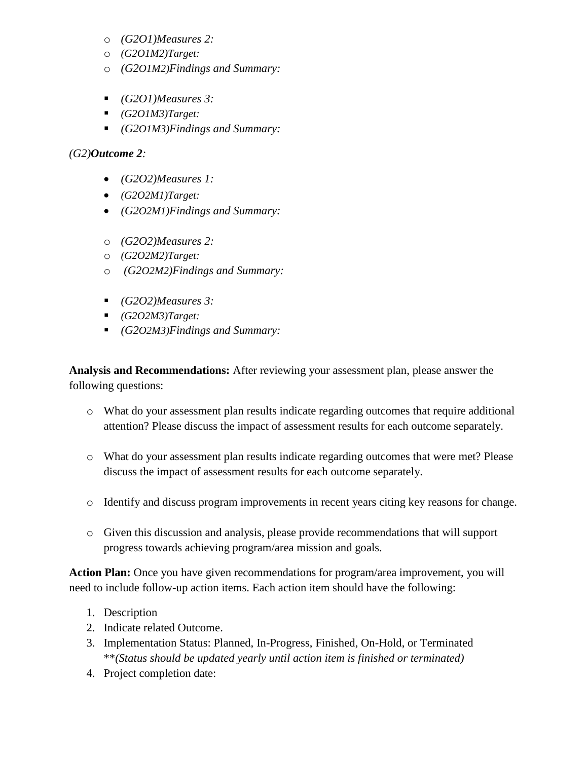- o *(G2O1)Measures 2:*
- o *(G2O1M2)Target:*
- o *(G2O1M2)Findings and Summary:*
- *(G2O1)Measures 3:*
- *(G2O1M3)Target:*
- *(G2O1M3)Findings and Summary:*

### *(G2)Outcome 2:*

- *(G2O2)Measures 1:*
- *(G2O2M1)Target:*
- *(G2O2M1)Findings and Summary:*
- o *(G2O2)Measures 2:*
- o *(G2O2M2)Target:*
- o *(G2O2M2)Findings and Summary:*
- *(G2O2)Measures 3:*
- *(G2O2M3)Target:*
- *(G2O2M3)Findings and Summary:*

**Analysis and Recommendations:** After reviewing your assessment plan, please answer the following questions:

- o What do your assessment plan results indicate regarding outcomes that require additional attention? Please discuss the impact of assessment results for each outcome separately.
- o What do your assessment plan results indicate regarding outcomes that were met? Please discuss the impact of assessment results for each outcome separately.
- o Identify and discuss program improvements in recent years citing key reasons for change.
- o Given this discussion and analysis, please provide recommendations that will support progress towards achieving program/area mission and goals.

**Action Plan:** Once you have given recommendations for program/area improvement, you will need to include follow-up action items. Each action item should have the following:

- 1. Description
- 2. Indicate related Outcome.
- 3. Implementation Status: Planned, In-Progress, Finished, On-Hold, or Terminated \*\**(Status should be updated yearly until action item is finished or terminated)*
- 4. Project completion date: